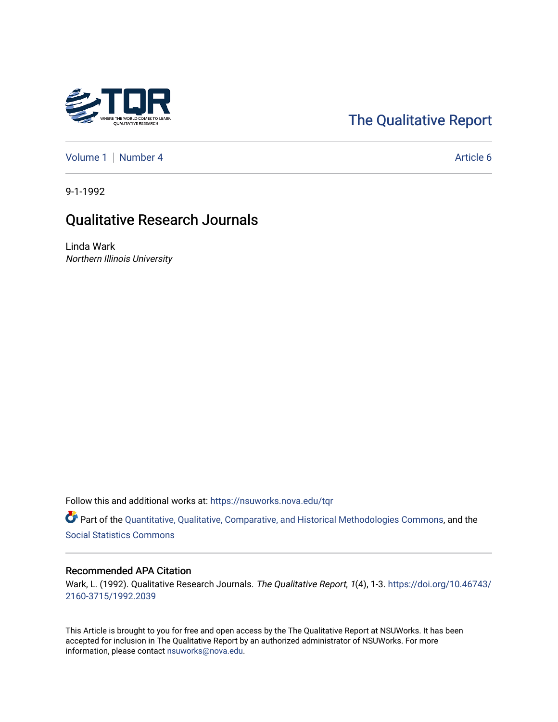

# [The Qualitative Report](https://nsuworks.nova.edu/tqr)

[Volume 1](https://nsuworks.nova.edu/tqr/vol1) | [Number 4](https://nsuworks.nova.edu/tqr/vol1/iss4) Article 6

9-1-1992

## Qualitative Research Journals

Linda Wark Northern Illinois University

Follow this and additional works at: [https://nsuworks.nova.edu/tqr](https://nsuworks.nova.edu/tqr?utm_source=nsuworks.nova.edu%2Ftqr%2Fvol1%2Fiss4%2F6&utm_medium=PDF&utm_campaign=PDFCoverPages) 

Part of the [Quantitative, Qualitative, Comparative, and Historical Methodologies Commons,](http://network.bepress.com/hgg/discipline/423?utm_source=nsuworks.nova.edu%2Ftqr%2Fvol1%2Fiss4%2F6&utm_medium=PDF&utm_campaign=PDFCoverPages) and the [Social Statistics Commons](http://network.bepress.com/hgg/discipline/1275?utm_source=nsuworks.nova.edu%2Ftqr%2Fvol1%2Fiss4%2F6&utm_medium=PDF&utm_campaign=PDFCoverPages) 

#### Recommended APA Citation

Wark, L. (1992). Qualitative Research Journals. The Qualitative Report, 1(4), 1-3. [https://doi.org/10.46743/](https://doi.org/10.46743/2160-3715/1992.2039) [2160-3715/1992.2039](https://doi.org/10.46743/2160-3715/1992.2039)

This Article is brought to you for free and open access by the The Qualitative Report at NSUWorks. It has been accepted for inclusion in The Qualitative Report by an authorized administrator of NSUWorks. For more information, please contact [nsuworks@nova.edu.](mailto:nsuworks@nova.edu)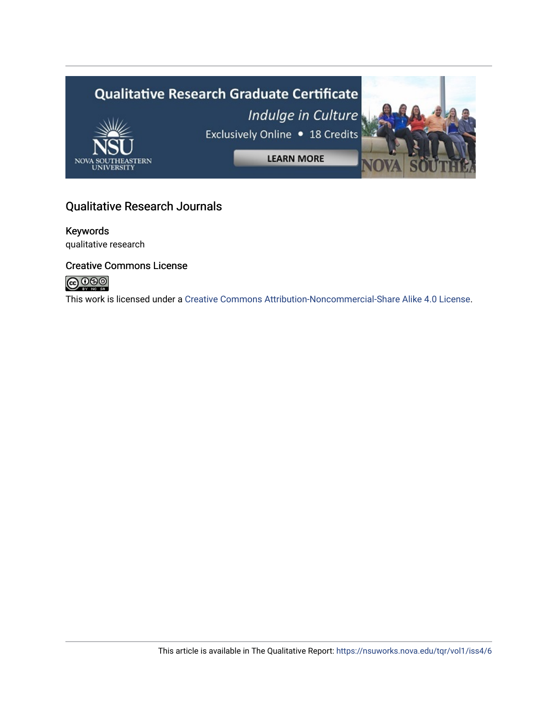

### Qualitative Research Journals

### Keywords

qualitative research

### Creative Commons License



This work is licensed under a [Creative Commons Attribution-Noncommercial-Share Alike 4.0 License](https://creativecommons.org/licenses/by-nc-sa/4.0/).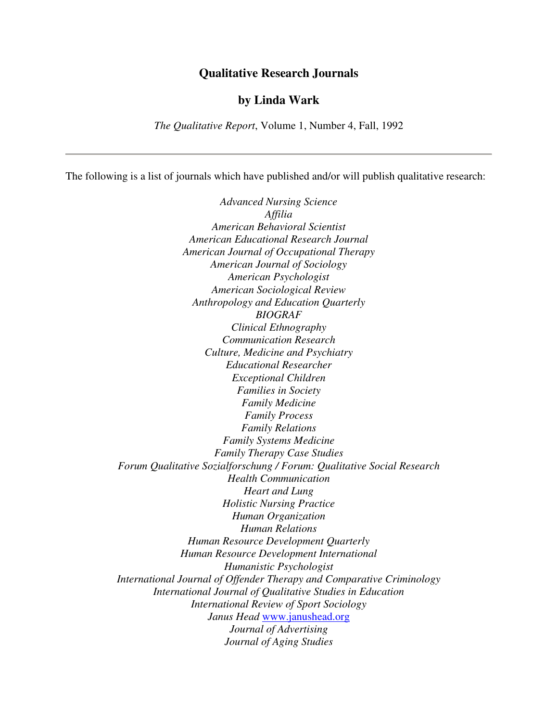#### **Qualitative Research Journals**

#### **by Linda Wark**

*The Qualitative Report*, Volume 1, Number 4, Fall, 1992

The following is a list of journals which have published and/or will publish qualitative research:

*Advanced Nursing Science Affilia American Behavioral Scientist American Educational Research Journal American Journal of Occupational Therapy American Journal of Sociology American Psychologist American Sociological Review Anthropology and Education Quarterly BIOGRAF Clinical Ethnography Communication Research Culture, Medicine and Psychiatry Educational Researcher Exceptional Children Families in Society Family Medicine Family Process Family Relations Family Systems Medicine Family Therapy Case Studies Forum Qualitative Sozialforschung / Forum: Qualitative Social Research Health Communication Heart and Lung Holistic Nursing Practice Human Organization Human Relations Human Resource Development Quarterly Human Resource Development International Humanistic Psychologist International Journal of Offender Therapy and Comparative Criminology International Journal of Qualitative Studies in Education International Review of Sport Sociology Janus Head* www.janushead.org *Journal of Advertising Journal of Aging Studies*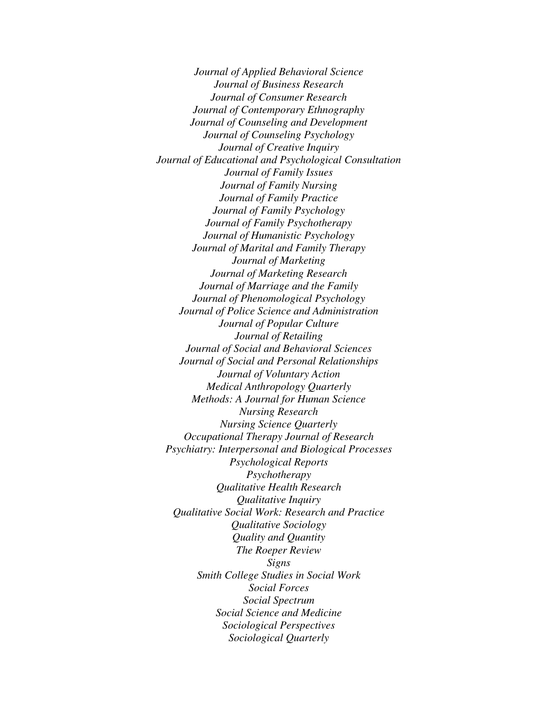*Journal of Applied Behavioral Science Journal of Business Research Journal of Consumer Research Journal of Contemporary Ethnography Journal of Counseling and Development Journal of Counseling Psychology Journal of Creative Inquiry Journal of Educational and Psychological Consultation Journal of Family Issues Journal of Family Nursing Journal of Family Practice Journal of Family Psychology Journal of Family Psychotherapy Journal of Humanistic Psychology Journal of Marital and Family Therapy Journal of Marketing Journal of Marketing Research Journal of Marriage and the Family Journal of Phenomological Psychology Journal of Police Science and Administration Journal of Popular Culture Journal of Retailing Journal of Social and Behavioral Sciences Journal of Social and Personal Relationships Journal of Voluntary Action Medical Anthropology Quarterly Methods: A Journal for Human Science Nursing Research Nursing Science Quarterly Occupational Therapy Journal of Research Psychiatry: Interpersonal and Biological Processes Psychological Reports Psychotherapy Qualitative Health Research Qualitative Inquiry Qualitative Social Work: Research and Practice Qualitative Sociology Quality and Quantity The Roeper Review Signs Smith College Studies in Social Work Social Forces Social Spectrum Social Science and Medicine Sociological Perspectives Sociological Quarterly*